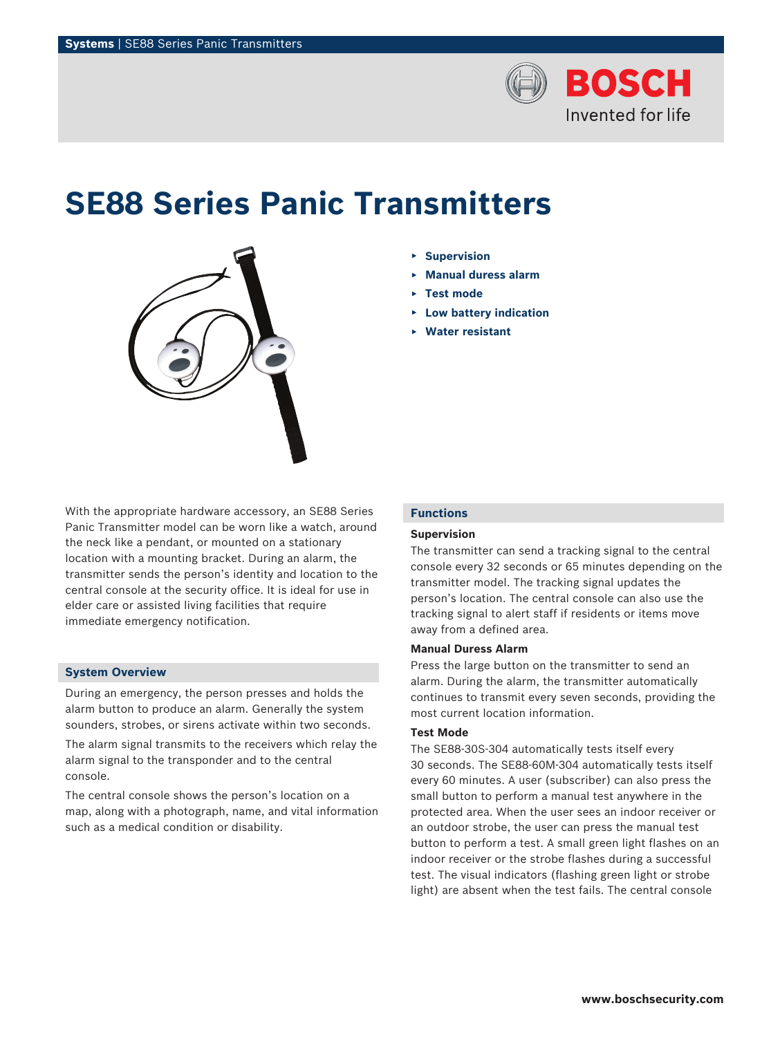

# **SE88 Series Panic Transmitters**



**Supervision** 

- ▶ **Manual duress alarm**
- ▶ **Test mode**
- **Low battery indication**
- **Water resistant**

With the appropriate hardware accessory, an SE88 Series Panic Transmitter model can be worn like a watch, around the neck like a pendant, or mounted on a stationary location with a mounting bracket. During an alarm, the transmitter sends the person's identity and location to the central console at the security office. It is ideal for use in elder care or assisted living facilities that require immediate emergency notification.

#### **System Overview**

During an emergency, the person presses and holds the alarm button to produce an alarm. Generally the system sounders, strobes, or sirens activate within two seconds.

The alarm signal transmits to the receivers which relay the alarm signal to the transponder and to the central console.

The central console shows the person's location on a map, along with a photograph, name, and vital information such as a medical condition or disability.

# **Functions**

## **Supervision**

The transmitter can send a tracking signal to the central console every 32 seconds or 65 minutes depending on the transmitter model. The tracking signal updates the person's location. The central console can also use the tracking signal to alert staff if residents or items move away from a defined area.

## **Manual Duress Alarm**

Press the large button on the transmitter to send an alarm. During the alarm, the transmitter automatically continues to transmit every seven seconds, providing the most current location information.

## **Test Mode**

The SE88‑30S‑304 automatically tests itself every 30 seconds. The SE88‑60M‑304 automatically tests itself every 60 minutes. A user (subscriber) can also press the small button to perform a manual test anywhere in the protected area. When the user sees an indoor receiver or an outdoor strobe, the user can press the manual test button to perform a test. A small green light flashes on an indoor receiver or the strobe flashes during a successful test. The visual indicators (flashing green light or strobe light) are absent when the test fails. The central console